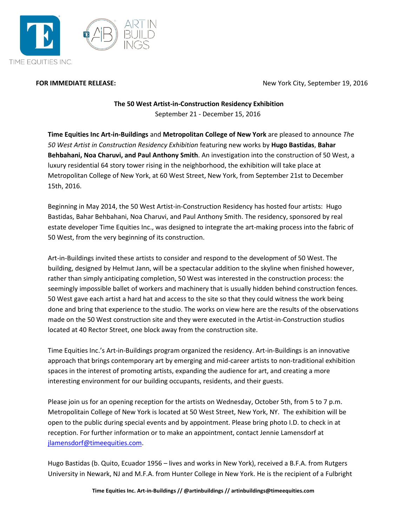

**FOR IMMEDIATE RELEASE:** New York City, September 19, 2016

## **The 50 West Artist-in-Construction Residency Exhibition** September 21 - December 15, 2016

**Time Equities Inc Art-in-Buildings** and **Metropolitan College of New York** are pleased to announce *The 50 West Artist in Construction Residency Exhibition* featuring new works by **Hugo Bastidas**, **Bahar Behbahani, Noa Charuvi, and Paul Anthony Smith**. An investigation into the construction of 50 West, a luxury residential 64 story tower rising in the neighborhood, the exhibition will take place at Metropolitan College of New York, at 60 West Street, New York, from September 21st to December 15th, 2016.

Beginning in May 2014, the 50 West Artist-in-Construction Residency has hosted four artists: Hugo Bastidas, Bahar Behbahani, Noa Charuvi, and Paul Anthony Smith. The residency, sponsored by real estate developer Time Equities Inc., was designed to integrate the art-making process into the fabric of 50 West, from the very beginning of its construction.

Art-in-Buildings invited these artists to consider and respond to the development of 50 West. The building, designed by Helmut Jann, will be a spectacular addition to the skyline when finished however, rather than simply anticipating completion, 50 West was interested in the construction process: the seemingly impossible ballet of workers and machinery that is usually hidden behind construction fences. 50 West gave each artist a hard hat and access to the site so that they could witness the work being done and bring that experience to the studio. The works on view here are the results of the observations made on the 50 West construction site and they were executed in the Artist-in-Construction studios located at 40 Rector Street, one block away from the construction site.

Time Equities Inc.'s Art-in-Buildings program organized the residency. Art-in-Buildings is an innovative approach that brings contemporary art by emerging and mid-career artists to non-traditional exhibition spaces in the interest of promoting artists, expanding the audience for art, and creating a more interesting environment for our building occupants, residents, and their guests.

Please join us for an opening reception for the artists on Wednesday, October 5th, from 5 to 7 p.m. Metropolitain College of New York is located at 50 West Street, New York, NY. The exhibition will be open to the public during special events and by appointment. Please bring photo I.D. to check in at reception. For further information or to make an appointment, contact Jennie Lamensdorf at [jlamensdorf@timeequities.com.](mailto:jlamensdorf@timeequities.com)

Hugo Bastidas (b. Quito, Ecuador 1956 – lives and works in New York), received a B.F.A. from Rutgers University in Newark, NJ and M.F.A. from Hunter College in New York. He is the recipient of a Fulbright